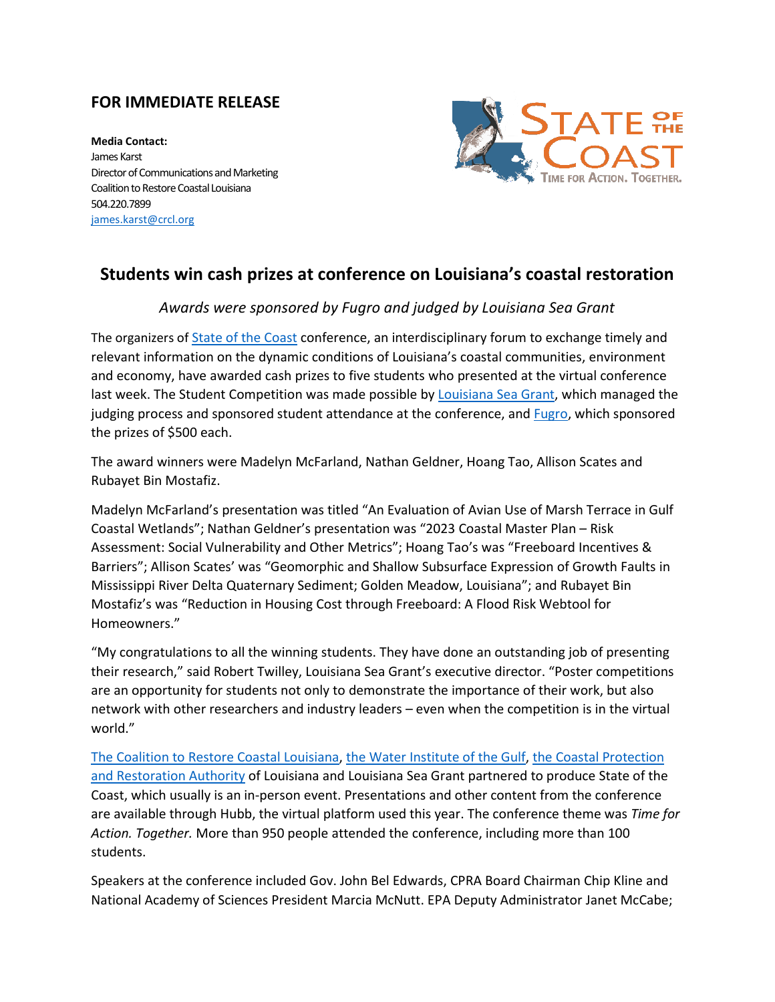## **FOR IMMEDIATE RELEASE**

**Media Contact:** James Karst Director of Communications and Marketing Coalition to Restore Coastal Louisiana 504.220.7899 [james.karst@crcl.org](mailto:james.karst@crcl.org)



## **Students win cash prizes at conference on Louisiana's coastal restoration**

## *Awards were sponsored by Fugro and judged by Louisiana Sea Grant*

The organizers o[f State of the Coast](https://www.stateofthecoast.org/) conference, an interdisciplinary forum to exchange timely and relevant information on the dynamic conditions of Louisiana's coastal communities, environment and economy, have awarded cash prizes to five students who presented at the virtual conference last week. The Student Competition was made possible by [Louisiana Sea Grant,](https://www.laseagrant.org/) which managed the judging process and sponsored student attendance at the conference, and **Fugro**, which sponsored the prizes of \$500 each.

The award winners were Madelyn McFarland, Nathan Geldner, Hoang Tao, Allison Scates and Rubayet Bin Mostafiz.

Madelyn McFarland's presentation was titled "An Evaluation of Avian Use of Marsh Terrace in Gulf Coastal Wetlands"; Nathan Geldner's presentation was "2023 Coastal Master Plan – Risk Assessment: Social Vulnerability and Other Metrics"; Hoang Tao's was "Freeboard Incentives & Barriers"; Allison Scates' was "Geomorphic and Shallow Subsurface Expression of Growth Faults in Mississippi River Delta Quaternary Sediment; Golden Meadow, Louisiana"; and Rubayet Bin Mostafiz's was "Reduction in Housing Cost through Freeboard: A Flood Risk Webtool for Homeowners."

"My congratulations to all the winning students. They have done an outstanding job of presenting their research," said Robert Twilley, Louisiana Sea Grant's executive director. "Poster competitions are an opportunity for students not only to demonstrate the importance of their work, but also network with other researchers and industry leaders – even when the competition is in the virtual world."

[The Coalition to Restore Coastal Louisiana,](https://www.crcl.org/) [the Water Institute of the Gulf,](https://thewaterinstitute.org/) [the Coastal Protection](https://coastal.la.gov/)  [and Restoration Authority](https://coastal.la.gov/) of Louisiana and Louisiana Sea Grant partnered to produce State of the Coast, which usually is an in-person event. Presentations and other content from the conference are available through Hubb, the virtual platform used this year. The conference theme was *Time for Action. Together.* More than 950 people attended the conference, including more than 100 students.

Speakers at the conference included Gov. John Bel Edwards, CPRA Board Chairman Chip Kline and National Academy of Sciences President Marcia McNutt. EPA Deputy Administrator Janet McCabe;